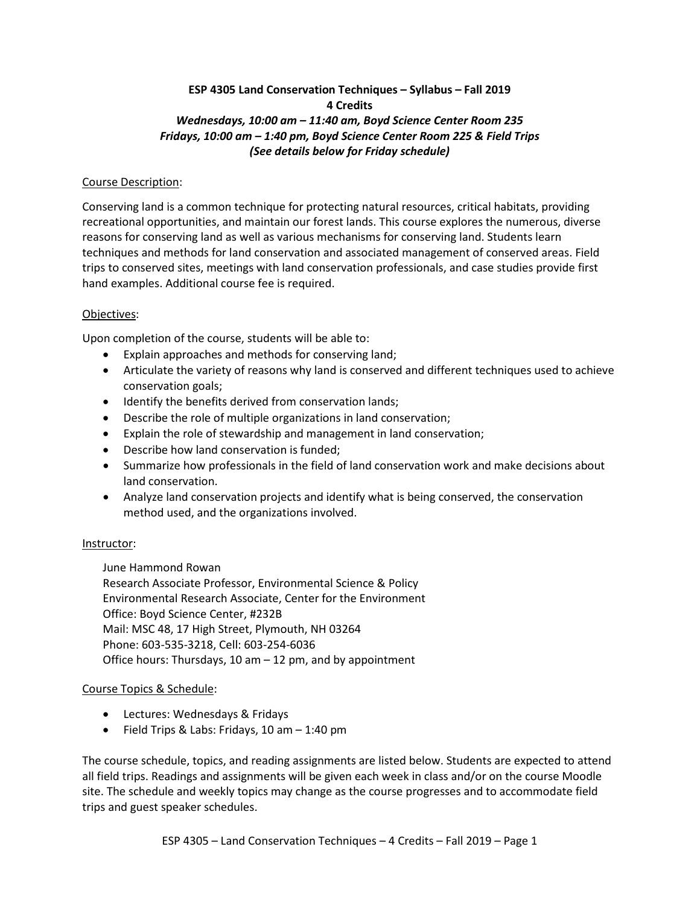# **ESP 4305 Land Conservation Techniques – Syllabus – Fall 2019 4 Credits** *Wednesdays, 10:00 am – 11:40 am, Boyd Science Center Room 235 Fridays, 10:00 am – 1:40 pm, Boyd Science Center Room 225 & Field Trips (See details below for Friday schedule)*

### Course Description:

Conserving land is a common technique for protecting natural resources, critical habitats, providing recreational opportunities, and maintain our forest lands. This course explores the numerous, diverse reasons for conserving land as well as various mechanisms for conserving land. Students learn techniques and methods for land conservation and associated management of conserved areas. Field trips to conserved sites, meetings with land conservation professionals, and case studies provide first hand examples. Additional course fee is required.

### Objectives:

Upon completion of the course, students will be able to:

- Explain approaches and methods for conserving land;
- Articulate the variety of reasons why land is conserved and different techniques used to achieve conservation goals;
- Identify the benefits derived from conservation lands;
- Describe the role of multiple organizations in land conservation;
- Explain the role of stewardship and management in land conservation;
- Describe how land conservation is funded;
- Summarize how professionals in the field of land conservation work and make decisions about land conservation.
- Analyze land conservation projects and identify what is being conserved, the conservation method used, and the organizations involved.

# Instructor:

June Hammond Rowan

Research Associate Professor, Environmental Science & Policy Environmental Research Associate, Center for the Environment Office: Boyd Science Center, #232B Mail: MSC 48, 17 High Street, Plymouth, NH 03264 Phone: 603-535-3218, Cell: 603-254-6036 Office hours: Thursdays, 10 am – 12 pm, and by appointment

# Course Topics & Schedule:

- Lectures: Wednesdays & Fridays
- $\bullet$  Field Trips & Labs: Fridays, 10 am  $-$  1:40 pm

The course schedule, topics, and reading assignments are listed below. Students are expected to attend all field trips. Readings and assignments will be given each week in class and/or on the course Moodle site. The schedule and weekly topics may change as the course progresses and to accommodate field trips and guest speaker schedules.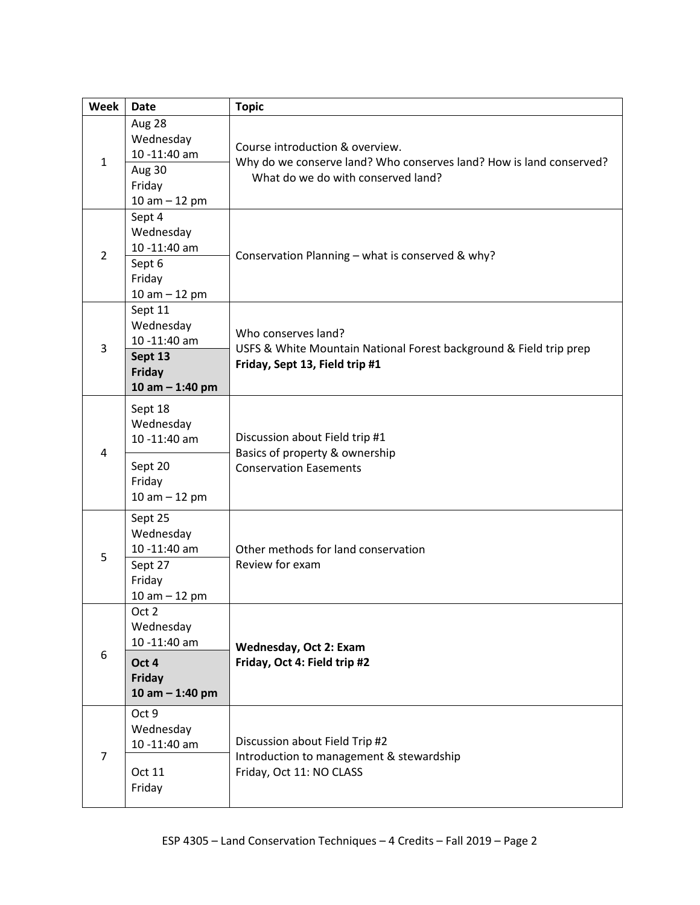| <b>Week</b>    | <b>Date</b>                                                                                                                                        | <b>Topic</b>                                                                                                                                 |  |  |
|----------------|----------------------------------------------------------------------------------------------------------------------------------------------------|----------------------------------------------------------------------------------------------------------------------------------------------|--|--|
| $\mathbf{1}$   | Aug 28<br>Wednesday<br>10-11:40 am<br>Aug 30<br>Friday<br>10 am $-$ 12 pm                                                                          | Course introduction & overview.<br>Why do we conserve land? Who conserves land? How is land conserved?<br>What do we do with conserved land? |  |  |
| $\overline{2}$ | Sept 4<br>Wednesday<br>10-11:40 am<br>Sept 6<br>Friday<br>$10 am - 12 pm$                                                                          | Conservation Planning - what is conserved & why?                                                                                             |  |  |
| 3              | Sept 11<br>Wednesday<br>10-11:40 am<br>Sept 13<br><b>Friday</b><br>10 am $-$ 1:40 pm                                                               | Who conserves land?<br>USFS & White Mountain National Forest background & Field trip prep<br>Friday, Sept 13, Field trip #1                  |  |  |
| 4              | Sept 18<br>Wednesday<br>10 -11:40 am<br>Sept 20<br>Friday<br>10 am $-$ 12 pm                                                                       | Discussion about Field trip #1<br>Basics of property & ownership<br><b>Conservation Easements</b>                                            |  |  |
| 5              | Sept 25<br>Wednesday<br>10 -11:40 am<br>Sept 27<br>Friday<br>10 am $-$ 12 pm                                                                       | Other methods for land conservation<br>Review for exam                                                                                       |  |  |
| 6              | Oct 2<br>Wednesday<br>10 -11:40 am<br><b>Wednesday, Oct 2: Exam</b><br>Friday, Oct 4: Field trip #2<br>Oct 4<br><b>Friday</b><br>10 am $-$ 1:40 pm |                                                                                                                                              |  |  |
| 7              | Oct 9<br>Wednesday<br>10 -11:40 am<br>Oct 11<br>Friday                                                                                             | Discussion about Field Trip #2<br>Introduction to management & stewardship<br>Friday, Oct 11: NO CLASS                                       |  |  |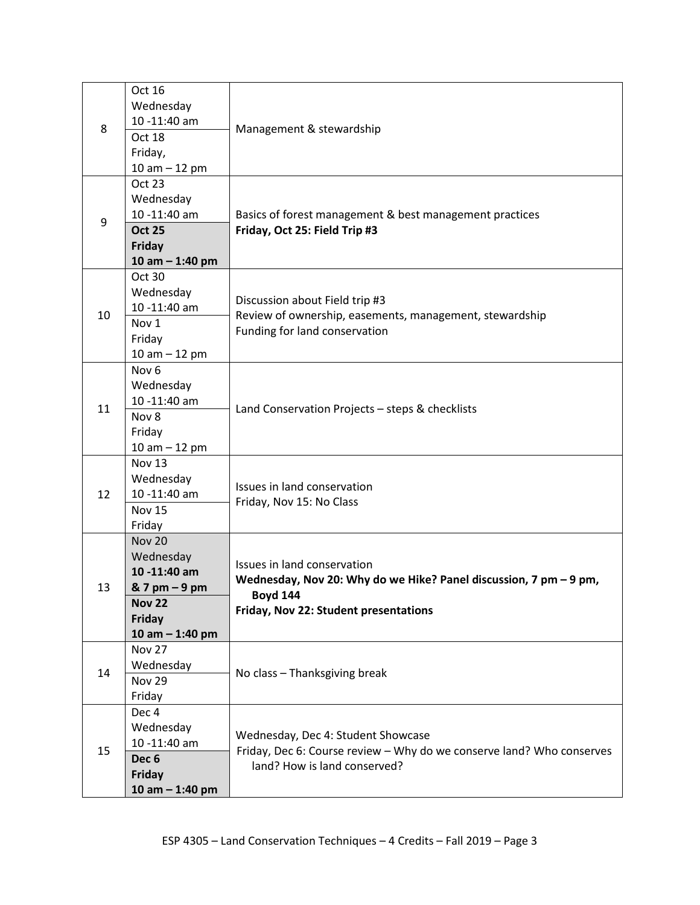| 8  | Oct 16<br>Wednesday<br>10-11:40 am<br>Oct 18<br>Friday,<br>10 am $-$ 12 pm                                                                                                                                                                      | Management & stewardship<br>Basics of forest management & best management practices<br>Friday, Oct 25: Field Trip #3                                         |  |
|----|-------------------------------------------------------------------------------------------------------------------------------------------------------------------------------------------------------------------------------------------------|--------------------------------------------------------------------------------------------------------------------------------------------------------------|--|
| 9  | <b>Oct 23</b><br>Wednesday<br>10 -11:40 am<br><b>Oct 25</b><br>Friday<br>10 am $-$ 1:40 pm                                                                                                                                                      |                                                                                                                                                              |  |
| 10 | Oct 30<br>Wednesday<br>10 -11:40 am<br>Nov 1<br>Friday<br>10 am $-$ 12 pm                                                                                                                                                                       | Discussion about Field trip #3<br>Review of ownership, easements, management, stewardship<br>Funding for land conservation                                   |  |
| 11 | Nov <sub>6</sub><br>Wednesday<br>10 -11:40 am<br>Nov 8<br>Friday<br>10 am $-$ 12 pm                                                                                                                                                             | Land Conservation Projects - steps & checklists                                                                                                              |  |
| 12 | Nov 13<br>Wednesday<br>10 -11:40 am<br><b>Nov 15</b><br>Friday                                                                                                                                                                                  | Issues in land conservation<br>Friday, Nov 15: No Class                                                                                                      |  |
| 13 | <b>Nov 20</b><br>Wednesday<br>10-11:40 am<br>& 7 pm - 9 pm<br><b>Nov 22</b><br>Friday<br>10 am $-$ 1:40 pm                                                                                                                                      | Issues in land conservation<br>Wednesday, Nov 20: Why do we Hike? Panel discussion, 7 pm - 9 pm,<br><b>Boyd 144</b><br>Friday, Nov 22: Student presentations |  |
| 14 | <b>Nov 27</b><br>Wednesday<br><b>Nov 29</b><br>Friday                                                                                                                                                                                           | No class - Thanksgiving break                                                                                                                                |  |
| 15 | Dec <sub>4</sub><br>Wednesday<br>Wednesday, Dec 4: Student Showcase<br>10 -11:40 am<br>Friday, Dec 6: Course review - Why do we conserve land? Who conserves<br>Dec <sub>6</sub><br>land? How is land conserved?<br>Friday<br>10 am $-$ 1:40 pm |                                                                                                                                                              |  |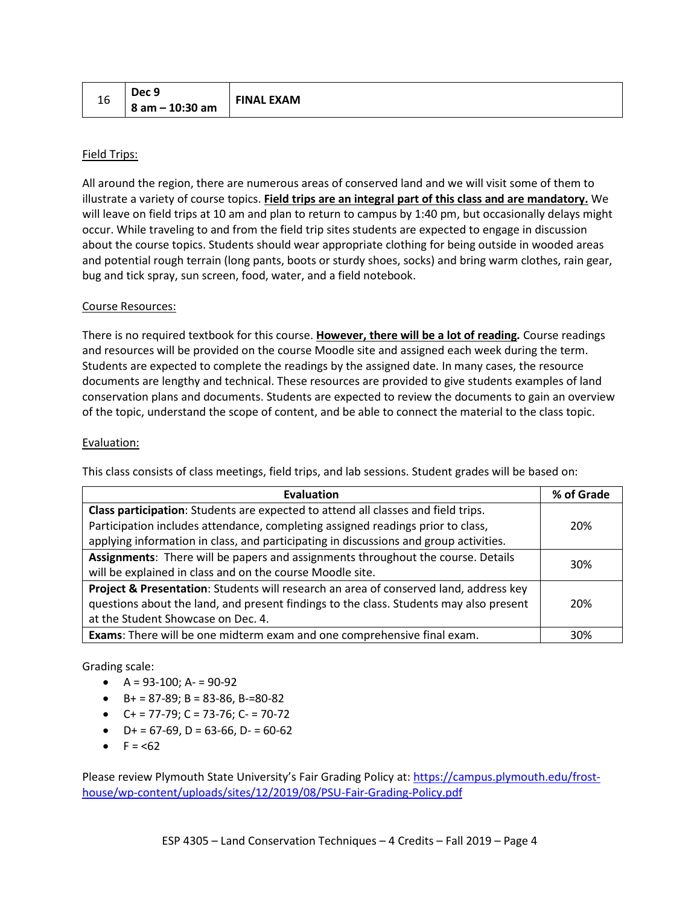| 16 | Dec 9               | <b>FINAL EXAM</b> |
|----|---------------------|-------------------|
|    | $  8$ am - 10:30 am |                   |

### Field Trips:

All around the region, there are numerous areas of conserved land and we will visit some of them to illustrate a variety of course topics. **Field trips are an integral part of this class and are mandatory.** We will leave on field trips at 10 am and plan to return to campus by 1:40 pm, but occasionally delays might occur. While traveling to and from the field trip sites students are expected to engage in discussion about the course topics. Students should wear appropriate clothing for being outside in wooded areas and potential rough terrain (long pants, boots or sturdy shoes, socks) and bring warm clothes, rain gear, bug and tick spray, sun screen, food, water, and a field notebook.

#### Course Resources:

There is no required textbook for this course. **However, there will be a lot of reading***.* Course readings and resources will be provided on the course Moodle site and assigned each week during the term. Students are expected to complete the readings by the assigned date. In many cases, the resource documents are lengthy and technical. These resources are provided to give students examples of land conservation plans and documents. Students are expected to review the documents to gain an overview of the topic, understand the scope of content, and be able to connect the material to the class topic.

#### Evaluation:

This class consists of class meetings, field trips, and lab sessions. Student grades will be based on:

| <b>Evaluation</b>                                                                      |     |  |
|----------------------------------------------------------------------------------------|-----|--|
| Class participation: Students are expected to attend all classes and field trips.      |     |  |
| Participation includes attendance, completing assigned readings prior to class,        | 20% |  |
| applying information in class, and participating in discussions and group activities.  |     |  |
| Assignments: There will be papers and assignments throughout the course. Details       |     |  |
| will be explained in class and on the course Moodle site.                              | 30% |  |
| Project & Presentation: Students will research an area of conserved land, address key  |     |  |
| questions about the land, and present findings to the class. Students may also present | 20% |  |
| at the Student Showcase on Dec. 4.                                                     |     |  |
| Exams: There will be one midterm exam and one comprehensive final exam.                |     |  |

Grading scale:

- $A = 93-100$ ;  $A = 90-92$
- $\bullet$  B+ = 87-89; B = 83-86, B-=80-82
- $C+ = 77-79$ ;  $C = 73-76$ ;  $C- = 70-72$
- $\bullet$  D+ = 67-69, D = 63-66, D- = 60-62
- $F = 62$

Please review Plymouth State University's Fair Grading Policy at[: https://campus.plymouth.edu/frost](https://campus.plymouth.edu/frost-house/wp-content/uploads/sites/12/2019/08/PSU-Fair-Grading-Policy.pdf)[house/wp-content/uploads/sites/12/2019/08/PSU-Fair-Grading-Policy.pdf](https://campus.plymouth.edu/frost-house/wp-content/uploads/sites/12/2019/08/PSU-Fair-Grading-Policy.pdf)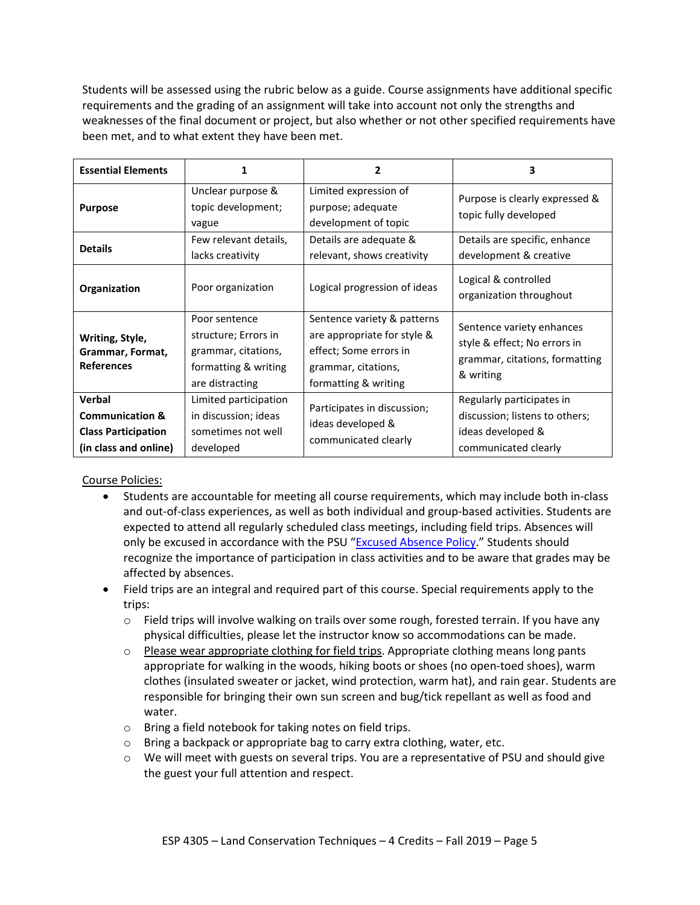Students will be assessed using the rubric below as a guide. Course assignments have additional specific requirements and the grading of an assignment will take into account not only the strengths and weaknesses of the final document or project, but also whether or not other specified requirements have been met, and to what extent they have been met.

| <b>Essential Elements</b>                                                                   |                                                                                                         | 2                                                                                                                                   | 3                                                                                                        |
|---------------------------------------------------------------------------------------------|---------------------------------------------------------------------------------------------------------|-------------------------------------------------------------------------------------------------------------------------------------|----------------------------------------------------------------------------------------------------------|
| <b>Purpose</b>                                                                              | Unclear purpose &<br>topic development;<br>vague                                                        | Limited expression of<br>purpose; adequate<br>development of topic                                                                  | Purpose is clearly expressed &<br>topic fully developed                                                  |
| <b>Details</b>                                                                              | Few relevant details,<br>lacks creativity                                                               | Details are adequate &<br>relevant, shows creativity                                                                                | Details are specific, enhance<br>development & creative                                                  |
| Organization                                                                                | Poor organization                                                                                       | Logical progression of ideas                                                                                                        | Logical & controlled<br>organization throughout                                                          |
| Writing, Style,<br>Grammar, Format,<br><b>References</b>                                    | Poor sentence<br>structure; Errors in<br>grammar, citations,<br>formatting & writing<br>are distracting | Sentence variety & patterns<br>are appropriate for style &<br>effect; Some errors in<br>grammar, citations,<br>formatting & writing | Sentence variety enhances<br>style & effect; No errors in<br>grammar, citations, formatting<br>& writing |
| Verbal<br><b>Communication &amp;</b><br><b>Class Participation</b><br>(in class and online) | Limited participation<br>in discussion; ideas<br>sometimes not well<br>developed                        | Participates in discussion;<br>ideas developed &<br>communicated clearly                                                            | Regularly participates in<br>discussion; listens to others;<br>ideas developed &<br>communicated clearly |

Course Policies:

- Students are accountable for meeting all course requirements, which may include both in-class and out-of-class experiences, as well as both individual and group-based activities. Students are expected to attend all regularly scheduled class meetings, including field trips. Absences will only be excused in accordance with the PSU ["Excused Absence Policy.](https://campus.plymouth.edu/frost-house/wp-content/uploads/sites/12/2019/08/PSU-Excused-Absence-Policy.pdf)" Students should recognize the importance of participation in class activities and to be aware that grades may be affected by absences.
- Field trips are an integral and required part of this course. Special requirements apply to the trips:
	- $\circ$  Field trips will involve walking on trails over some rough, forested terrain. If you have any physical difficulties, please let the instructor know so accommodations can be made.
	- $\circ$  Please wear appropriate clothing for field trips. Appropriate clothing means long pants appropriate for walking in the woods, hiking boots or shoes (no open-toed shoes), warm clothes (insulated sweater or jacket, wind protection, warm hat), and rain gear. Students are responsible for bringing their own sun screen and bug/tick repellant as well as food and water.
	- o Bring a field notebook for taking notes on field trips.
	- o Bring a backpack or appropriate bag to carry extra clothing, water, etc.
	- o We will meet with guests on several trips. You are a representative of PSU and should give the guest your full attention and respect.